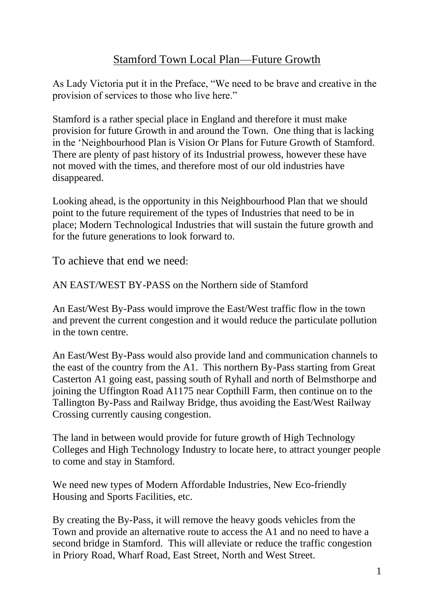## Stamford Town Local Plan—Future Growth

As Lady Victoria put it in the Preface, "We need to be brave and creative in the provision of services to those who live here."

Stamford is a rather special place in England and therefore it must make provision for future Growth in and around the Town. One thing that is lacking in the 'Neighbourhood Plan is Vision Or Plans for Future Growth of Stamford. There are plenty of past history of its Industrial prowess, however these have not moved with the times, and therefore most of our old industries have disappeared.

Looking ahead, is the opportunity in this Neighbourhood Plan that we should point to the future requirement of the types of Industries that need to be in place; Modern Technological Industries that will sustain the future growth and for the future generations to look forward to.

To achieve that end we need:

AN EAST/WEST BY-PASS on the Northern side of Stamford

An East/West By-Pass would improve the East/West traffic flow in the town and prevent the current congestion and it would reduce the particulate pollution in the town centre.

An East/West By-Pass would also provide land and communication channels to the east of the country from the A1. This northern By-Pass starting from Great Casterton A1 going east, passing south of Ryhall and north of Belmsthorpe and joining the Uffington Road A1175 near Copthill Farm, then continue on to the Tallington By-Pass and Railway Bridge, thus avoiding the East/West Railway Crossing currently causing congestion.

The land in between would provide for future growth of High Technology Colleges and High Technology Industry to locate here, to attract younger people to come and stay in Stamford.

We need new types of Modern Affordable Industries, New Eco-friendly Housing and Sports Facilities, etc.

By creating the By-Pass, it will remove the heavy goods vehicles from the Town and provide an alternative route to access the A1 and no need to have a second bridge in Stamford. This will alleviate or reduce the traffic congestion in Priory Road, Wharf Road, East Street, North and West Street.